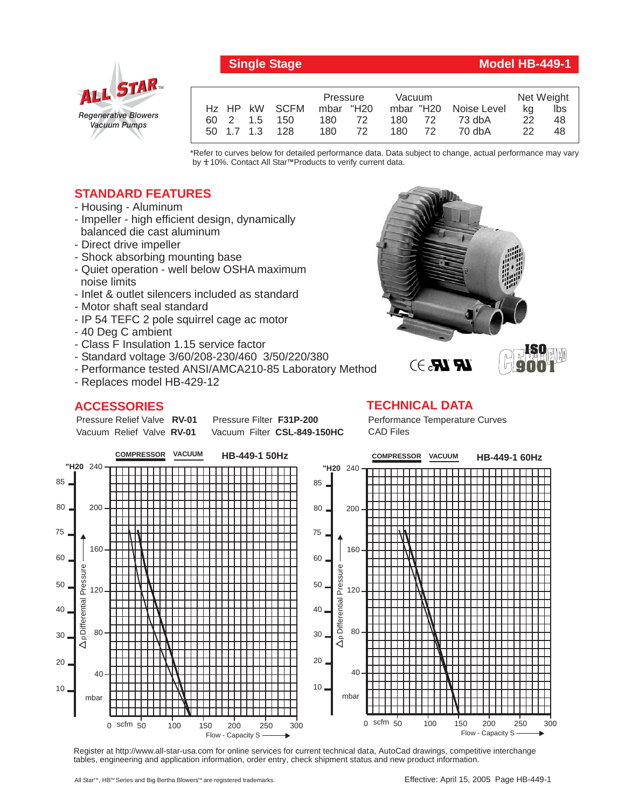

# **Single Stage Model HB-449-1**

|  |                | Pressure  |    | Vacuum |      |                       | Net Weight |     |
|--|----------------|-----------|----|--------|------|-----------------------|------------|-----|
|  | Hz HP kW SCFM  | mbar "H20 |    |        |      | mbar "H20 Noise Level | kg         | lbs |
|  | 60 2 1.5 150   | 180       | 72 | 180 72 |      | 73 dbA                | 22         | 48  |
|  | 50 1.7 1.3 128 | 180       | 72 | 180    | - 72 | 70 dbA                | 22         | 48  |

\*Refer to curves below for detailed performance data. Data subject to change, actual performance may vary by **+** 10%. Contact All Star™Products to verify current data.

# **STANDARD FEATURES**

- Housing Aluminum
- Impeller high efficient design, dynamically balanced die cast aluminum
- Direct drive impeller
- Shock absorbing mounting base
- Quiet operation well below OSHA maximum noise limits
- Inlet & outlet silencers included as standard
- Motor shaft seal standard
- IP 54 TEFC 2 pole squirrel cage ac motor
- 40 Deg C ambient
- Class F Insulation 1.15 service factor
- Standard voltage 3/60/208-230/460 3/50/220/380
- Performance tested ANSI/AMCA210-85 Laboratory Method
- Replaces model HB-429-12

# **ACCESSORIES**

Pressure Relief Valve RV-01 Vacuum Relief Valve RV-01

**Pressure Filter F31P-200** Vacuum Filter CSL-849-150HC



### **TECHNICAL DATA**

Performance Temperature Curves CAD Files



Register at http://www.all-star-usa.com for online services for current technical data, AutoCad drawings, competitive interchange tables, engineering and application information, order entry, check shipment status and new product information.